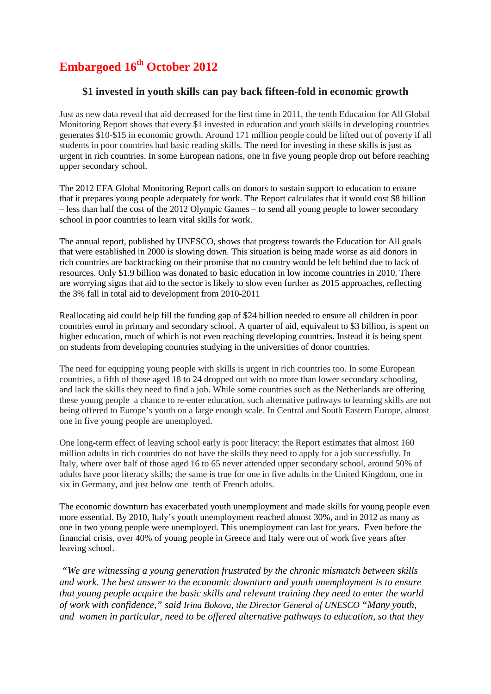# **Embargoed 16th October 2012**

## **\$1 invested in youth skills can pay back fifteen-fold in economic growth**

Just as new data reveal that aid decreased for the first time in 2011, the tenth Education for All Global Monitoring Report shows that every \$1 invested in education and youth skills in developing countries generates \$10-\$15 in economic growth. Around 171 million people could be lifted out of poverty if all students in poor countries had basic reading skills. The need for investing in these skills is just as urgent in rich countries. In some European nations, one in five young people drop out before reaching upper secondary school.

The 2012 EFA Global Monitoring Report calls on donors to sustain support to education to ensure that it prepares young people adequately for work. The Report calculates that it would cost \$8 billion – less than half the cost of the 2012 Olympic Games – to send all young people to lower secondary school in poor countries to learn vital skills for work.

The annual report, published by UNESCO, shows that progress towards the Education for All goals that were established in 2000 is slowing down. This situation is being made worse as aid donors in rich countries are backtracking on their promise that no country would be left behind due to lack of resources. Only \$1.9 billion was donated to basic education in low income countries in 2010. There are worrying signs that aid to the sector is likely to slow even further as 2015 approaches, reflecting the 3% fall in total aid to development from 2010-2011

Reallocating aid could help fill the funding gap of \$24 billion needed to ensure all children in poor countries enrol in primary and secondary school. A quarter of aid, equivalent to \$3 billion, is spent on higher education, much of which is not even reaching developing countries. Instead it is being spent on students from developing countries studying in the universities of donor countries.

The need for equipping young people with skills is urgent in rich countries too. In some European countries, a fifth of those aged 18 to 24 dropped out with no more than lower secondary schooling, and lack the skills they need to find a job. While some countries such as the Netherlands are offering these young people a chance to re-enter education, such alternative pathways to learning skills are not being offered to Europe's youth on a large enough scale. In Central and South Eastern Europe, almost one in five young people are unemployed.

One long-term effect of leaving school early is poor literacy: the Report estimates that almost 160 million adults in rich countries do not have the skills they need to apply for a job successfully. In Italy, where over half of those aged 16 to 65 never attended upper secondary school, around 50% of adults have poor literacy skills; the same is true for one in five adults in the United Kingdom, one in six in Germany, and just below one tenth of French adults.

The economic downturn has exacerbated youth unemployment and made skills for young people even more essential. By 2010, Italy's youth unemployment reached almost 30%, and in 2012 as many as one in two young people were unemployed. This unemployment can last for years. Even before the financial crisis, over 40% of young people in Greece and Italy were out of work five years after leaving school.

*"We are witnessing a young generation frustrated by the chronic mismatch between skills and work. The best answer to the economic downturn and youth unemployment is to ensure that young people acquire the basic skills and relevant training they need to enter the world of work with confidence," said Irina Bokova, the Director General of UNESCO "Many youth, and women in particular, need to be offered alternative pathways to education, so that they*